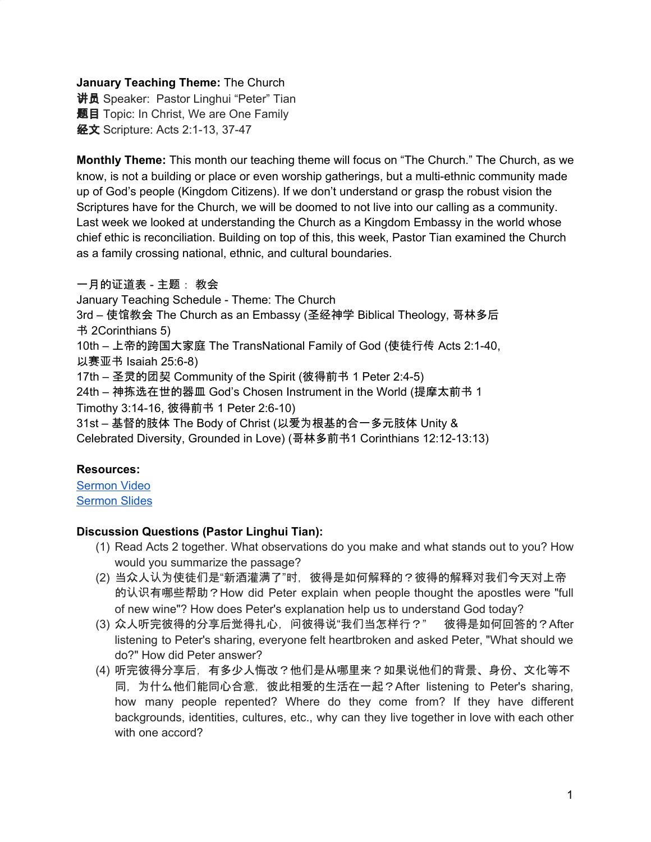### **January Teaching Theme:** The Church

**讲员** Speaker: Pastor Linghui "Peter" Tian 题目 Topic: In Christ, We are One Family 经文 Scripture: Acts 2:1-13, 37-47

**Monthly Theme:** This month our teaching theme will focus on "The Church." The Church, as we know, is not a building or place or even worship gatherings, but a multi-ethnic community made up of God's people (Kingdom Citizens). If we don't understand or grasp the robust vision the Scriptures have for the Church, we will be doomed to not live into our calling as a community. Last week we looked at understanding the Church as a Kingdom Embassy in the world whose chief ethic is reconciliation. Building on top of this, this week, Pastor Tian examined the Church as a family crossing national, ethnic, and cultural boundaries.

### 一月的证道表 - 主题: 教会

January Teaching Schedule - Theme: The Church 3rd – 使馆教会 The Church as an Embassy (圣经神学 Biblical Theology, 哥林多后 书 2Corinthians 5) 10th – 上帝的跨国大家庭 The TransNational Family of God (使徒行传 Acts 2:1-40, 以赛亚书 Isaiah 25:6-8) 17th – 圣灵的团契 Community of the Spirit (彼得前书 1 Peter 2:4-5) 24th – 神拣选在世的器皿 God's Chosen Instrument in the World (提摩太前书 1 Timothy 3:14-16, 彼得前书 1 Peter 2:6-10)

31st – 基督的肢体 The Body of Christ (以爱为根基的合一多元肢体 Unity & Celebrated Diversity, Grounded in Love) (哥林多前书1 Corinthians 12:12-13:13)

# **Resources:**

[Sermon](https://www.youtube.com/watch?v=d9SWOGS-8XM&feature=youtu.be) Video [Sermon](http://www.lcccky.org/CellGroup/Meetings/In%20Christ%20we%20are%20family.pdf) Slides

# **Discussion Questions (Pastor Linghui Tian):**

- (1) Read Acts 2 together. What observations do you make and what stands out to you? How would you summarize the passage?
- (2) 当众人认为使徒们是"新酒灌满了"时,彼得是如何解释的?彼得的解释对我们今天对上帝 的认识有哪些帮助?How did Peter explain when people thought the apostles were "full of new wine"? How does Peter's explanation help us to understand God today?
- (3) 众人听完彼得的分享后觉得扎心,问彼得说"我们当怎样行?" 彼得是如何回答的?After listening to Peter's sharing, everyone felt heartbroken and asked Peter, "What should we do?" How did Peter answer?
- (4) 听完彼得分享后,有多少人悔改?他们是从哪里来?如果说他们的背景、身份、文化等不 同,为什么他们能同心合意,彼此相爱的生活在一起?After listening to Peter's sharing, how many people repented? Where do they come from? If they have different backgrounds, identities, cultures, etc., why can they live together in love with each other with one accord?